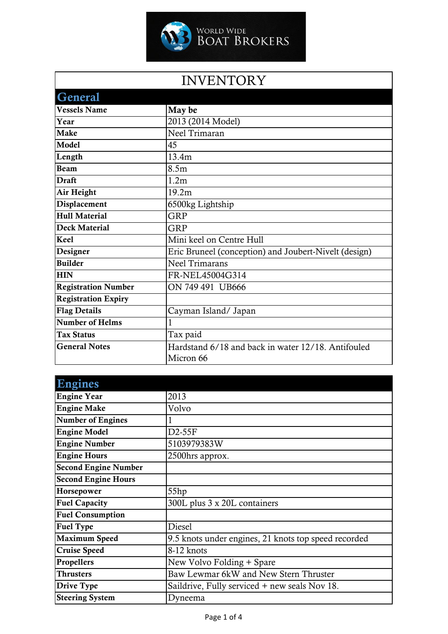

## INVENTORY

| <b>General</b>             |                                                       |
|----------------------------|-------------------------------------------------------|
| <b>Vessels Name</b>        | May be                                                |
| Year                       | 2013 (2014 Model)                                     |
| <b>Make</b>                | Neel Trimaran                                         |
| Model                      | 45                                                    |
| Length                     | 13.4m                                                 |
| <b>Beam</b>                | 8.5m                                                  |
| <b>Draft</b>               | 1.2 <sub>m</sub>                                      |
| Air Height                 | 19.2m                                                 |
| Displacement               | 6500kg Lightship                                      |
| <b>Hull Material</b>       | <b>GRP</b>                                            |
| <b>Deck Material</b>       | <b>GRP</b>                                            |
| Keel                       | Mini keel on Centre Hull                              |
| Designer                   | Eric Bruneel (conception) and Joubert-Nivelt (design) |
| <b>Builder</b>             | <b>Neel Trimarans</b>                                 |
| <b>HIN</b>                 | FR-NEL45004G314                                       |
| <b>Registration Number</b> | ON 749 491 UB666                                      |
| <b>Registration Expiry</b> |                                                       |
| <b>Flag Details</b>        | Cayman Island/ Japan                                  |
| <b>Number of Helms</b>     | 1                                                     |
| <b>Tax Status</b>          | Tax paid                                              |
| <b>General Notes</b>       | Hardstand 6/18 and back in water 12/18. Antifouled    |
|                            | Micron 66                                             |

| <b>Engines</b>              |                                                      |
|-----------------------------|------------------------------------------------------|
| <b>Engine Year</b>          | 2013                                                 |
| <b>Engine Make</b>          | Volvo                                                |
| <b>Number of Engines</b>    |                                                      |
| <b>Engine Model</b>         | $D2-55F$                                             |
| <b>Engine Number</b>        | 5103979383W                                          |
| <b>Engine Hours</b>         | 2500hrs approx.                                      |
| <b>Second Engine Number</b> |                                                      |
| <b>Second Engine Hours</b>  |                                                      |
| Horsepower                  | 55hp                                                 |
| <b>Fuel Capacity</b>        | 300L plus 3 x 20L containers                         |
| <b>Fuel Consumption</b>     |                                                      |
| <b>Fuel Type</b>            | Diesel                                               |
| <b>Maximum Speed</b>        | 9.5 knots under engines, 21 knots top speed recorded |
| <b>Cruise Speed</b>         | 8-12 knots                                           |
| Propellers                  | New Volvo Folding + Spare                            |
| <b>Thrusters</b>            | Baw Lewmar 6kW and New Stern Thruster                |
| Drive Type                  | Saildrive, Fully serviced + new seals Nov 18.        |
| <b>Steering System</b>      | Dyneema                                              |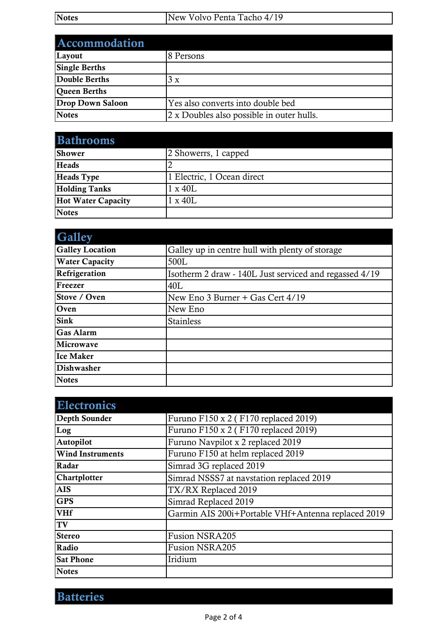| <b>Notes</b> | New Volvo Penta Tacho 4/19 |
|--------------|----------------------------|
|              |                            |

| Accommodation           |                                           |
|-------------------------|-------------------------------------------|
| Layout                  | 8 Persons                                 |
| <b>Single Berths</b>    |                                           |
| Double Berths           | 3 x                                       |
| <b>Queen Berths</b>     |                                           |
| <b>Drop Down Saloon</b> | Yes also converts into double bed         |
| <b>Notes</b>            | 2 x Doubles also possible in outer hulls. |

| <b>Bathrooms</b>          |                            |
|---------------------------|----------------------------|
| Shower                    | 2 Showerrs, 1 capped       |
| <b>Heads</b>              |                            |
| <b>Heads</b> Type         | 1 Electric, 1 Ocean direct |
| <b>Holding Tanks</b>      | $1 \times 40L$             |
| <b>Hot Water Capacity</b> | $1 \times 40L$             |
| <b>Notes</b>              |                            |

| <b>Galley</b>          |                                                        |
|------------------------|--------------------------------------------------------|
| <b>Galley Location</b> | Galley up in centre hull with plenty of storage        |
| <b>Water Capacity</b>  | 500L                                                   |
| Refrigeration          | Isotherm 2 draw - 140L Just serviced and regassed 4/19 |
| Freezer                | 40L                                                    |
| Stove / Oven           | New Eno 3 Burner + Gas Cert 4/19                       |
| Oven                   | New Eno                                                |
| <b>Sink</b>            | <b>Stainless</b>                                       |
| <b>Gas Alarm</b>       |                                                        |
| Microwave              |                                                        |
| <b>Ice Maker</b>       |                                                        |
| <b>Dishwasher</b>      |                                                        |
| <b>Notes</b>           |                                                        |

| <b>Electronics</b>      |                                                    |
|-------------------------|----------------------------------------------------|
| Depth Sounder           | Furuno F150 x 2 (F170 replaced 2019)               |
| Log                     | Furuno F150 x 2 (F170 replaced 2019)               |
| Autopilot               | Furuno Navpilot x 2 replaced 2019                  |
| <b>Wind Instruments</b> | Furuno F150 at helm replaced 2019                  |
| Radar                   | Simrad 3G replaced 2019                            |
| Chartplotter            | Simrad NSSS7 at navstation replaced 2019           |
| <b>AIS</b>              | TX/RX Replaced 2019                                |
| <b>GPS</b>              | Simrad Replaced 2019                               |
| <b>VHf</b>              | Garmin AIS 200i+Portable VHf+Antenna replaced 2019 |
| TV                      |                                                    |
| <b>Stereo</b>           | <b>Fusion NSRA205</b>                              |
| Radio                   | <b>Fusion NSRA205</b>                              |
| <b>Sat Phone</b>        | Iridium                                            |
| <b>Notes</b>            |                                                    |

Batteries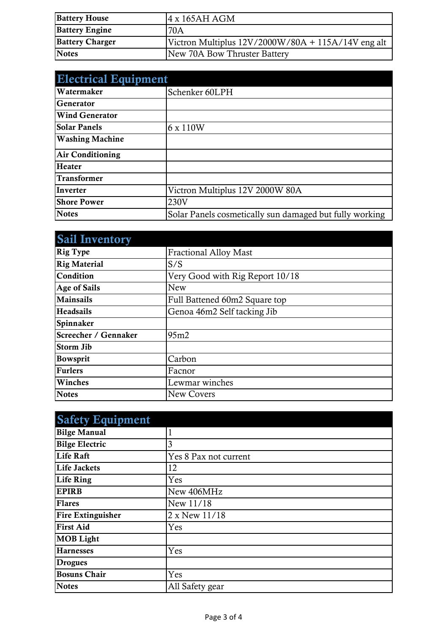| <b>Battery House</b>   | $4 \times 165$ AH AGM                              |
|------------------------|----------------------------------------------------|
| <b>Battery Engine</b>  | 70A                                                |
| <b>Battery Charger</b> | Victron Multiplus 12V/2000W/80A + 115A/14V eng alt |
| <b>Notes</b>           | New 70A Bow Thruster Battery                       |

| <b>Electrical Equipment</b> |                                                         |
|-----------------------------|---------------------------------------------------------|
| Watermaker                  | Schenker 60LPH                                          |
| <b>Generator</b>            |                                                         |
| <b>Wind Generator</b>       |                                                         |
| <b>Solar Panels</b>         | 6 x 110W                                                |
| <b>Washing Machine</b>      |                                                         |
| <b>Air Conditioning</b>     |                                                         |
| <b>Heater</b>               |                                                         |
| <b>Transformer</b>          |                                                         |
| Inverter                    | Victron Multiplus 12V 2000W 80A                         |
| <b>Shore Power</b>          | 230V                                                    |
| <b>Notes</b>                | Solar Panels cosmetically sun damaged but fully working |

| <b>Sail Inventory</b> |                                 |
|-----------------------|---------------------------------|
| <b>Rig Type</b>       | <b>Fractional Alloy Mast</b>    |
| <b>Rig Material</b>   | S/S                             |
| Condition             | Very Good with Rig Report 10/18 |
| <b>Age of Sails</b>   | New                             |
| <b>Mainsails</b>      | Full Battened 60m2 Square top   |
| <b>Headsails</b>      | Genoa 46m2 Self tacking Jib     |
| Spinnaker             |                                 |
| Screecher / Gennaker  | 95m2                            |
| <b>Storm Jib</b>      |                                 |
| <b>Bowsprit</b>       | Carbon                          |
| <b>Furlers</b>        | Facnor                          |
| Winches               | Lewmar winches                  |
| <b>Notes</b>          | <b>New Covers</b>               |

| <b>Safety Equipment</b>  |                       |
|--------------------------|-----------------------|
| <b>Bilge Manual</b>      |                       |
| <b>Bilge Electric</b>    | 3                     |
| <b>Life Raft</b>         | Yes 8 Pax not current |
| <b>Life Jackets</b>      | 12                    |
| Life Ring                | Yes                   |
| <b>EPIRB</b>             | New 406MHz            |
| <b>Flares</b>            | New 11/18             |
| <b>Fire Extinguisher</b> | 2 x New 11/18         |
| <b>First Aid</b>         | Yes                   |
| <b>MOB</b> Light         |                       |
| <b>Harnesses</b>         | Yes                   |
| <b>Drogues</b>           |                       |
| <b>Bosuns Chair</b>      | Yes                   |
| <b>Notes</b>             | All Safety gear       |